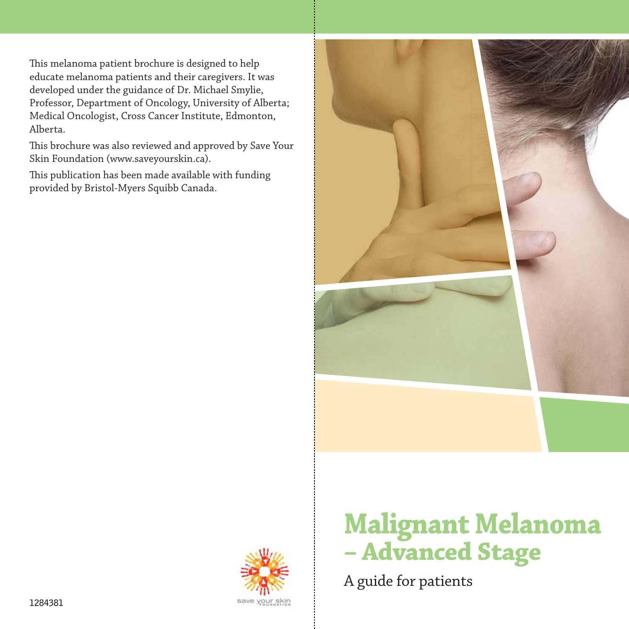This melanoma patient brochure is designed to help educate melanoma patients and their caregivers. It was developed under the guidance of Dr. Michael Smylie, Professor, Department of Oncology, University of Alberta; Medical Oncologist, Cross Cancer Institute, Edmonton, Alberta.

This brochure was also reviewed and approved by Save Your Skin Foundation (www.saveyourskin.ca).

This publication has been made available with funding provided by Bristol-Myers Squibb Canada.





# **Malignant Melanoma – Advanced Stage**

A guide for patients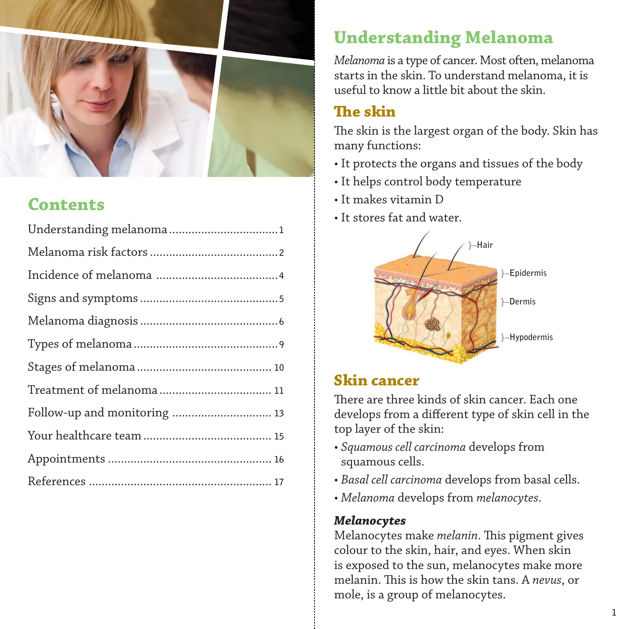

# **Contents**

| Follow-up and monitoring  13 |
|------------------------------|
|                              |
|                              |
|                              |

# **Understanding Melanoma**

*Melanoma* is a type of cancer. Most often, melanoma starts in the skin. To understand melanoma, it is useful to know a little bit about the skin.

### **The skin**

The skin is the largest organ of the body. Skin has many functions:

- It protects the organs and tissues of the body
- It helps control body temperature
- It makes vitamin D
- It stores fat and water.



### **Skin cancer**

There are three kinds of skin cancer. Each one develops from a different type of skin cell in the top layer of the skin:

- *Squamous cell carcinoma* develops from squamous cells.
- *Basal cell carcinoma* develops from basal cells.
- *Melanoma* develops from *melanocytes*.

#### *Melanocytes*

Melanocytes make *melanin*. This pigment gives colour to the skin, hair, and eyes. When skin is exposed to the sun, melanocytes make more melanin. This is how the skin tans. A *nevus*, or mole, is a group of melanocytes.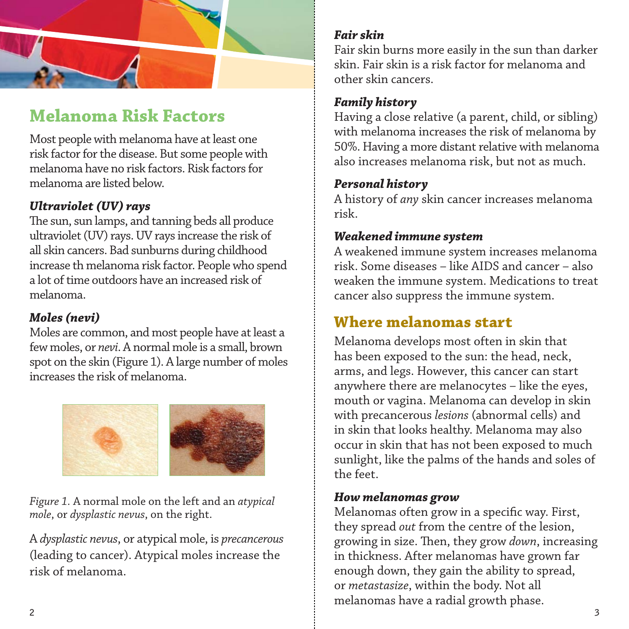

# **Melanoma Risk Factors**

Most people with melanoma have at least one risk factor for the disease. But some people with melanoma have no risk factors. Risk factors for melanoma are listed below.

#### *Ultraviolet (UV) rays*

The sun, sun lamps, and tanning beds all produce ultraviolet (UV) rays. UV rays increase the risk of all skin cancers. Bad sunburns during childhood increase th melanoma risk factor. People who spend a lot of time outdoors have an increased risk of melanoma.

#### *Moles (nevi)*

Moles are common, and most people have at least a few moles, or *nevi*. A normal mole is a small, brown spot on the skin (Figure 1). A large number of moles increases the risk of melanoma.



*Figure 1.* A normal mole on the left and an *atypical mole*, or *dysplastic nevus*, on the right.

A *dysplastic nevus*, or atypical mole, is *precancerous* (leading to cancer). Atypical moles increase the risk of melanoma.

#### *Fair skin*

Fair skin burns more easily in the sun than darker skin. Fair skin is a risk factor for melanoma and other skin cancers.

#### *Family history*

Having a close relative (a parent, child, or sibling) with melanoma increases the risk of melanoma by 50%. Having a more distant relative with melanoma also increases melanoma risk, but not as much.

#### *Personal history*

A history of *any* skin cancer increases melanoma risk.

#### *Weakened immune system*

A weakened immune system increases melanoma risk. Some diseases – like AIDS and cancer – also weaken the immune system. Medications to treat cancer also suppress the immune system.

### **Where melanomas start**

Melanoma develops most often in skin that has been exposed to the sun: the head, neck, arms, and legs. However, this cancer can start anywhere there are melanocytes – like the eyes, mouth or vagina. Melanoma can develop in skin with precancerous *lesions* (abnormal cells) and in skin that looks healthy. Melanoma may also occur in skin that has not been exposed to much sunlight, like the palms of the hands and soles of the feet.

#### *How melanomas grow*

Melanomas often grow in a specific way. First, they spread *out* from the centre of the lesion, growing in size. Then, they grow *down*, increasing in thickness. After melanomas have grown far enough down, they gain the ability to spread, or *metastasize*, within the body. Not all melanomas have a radial growth phase.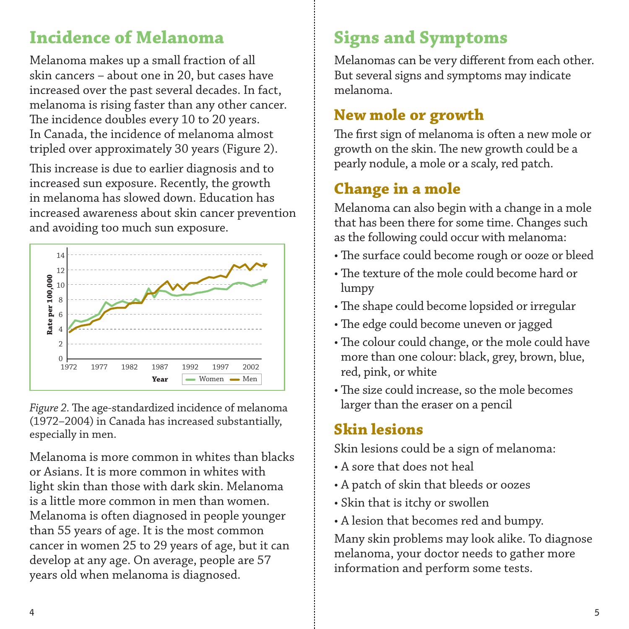# **Incidence of Melanoma**

Melanoma makes up a small fraction of all skin cancers – about one in 20, but cases have increased over the past several decades. In fact, melanoma is rising faster than any other cancer. The incidence doubles every 10 to 20 years. In Canada, the incidence of melanoma almost tripled over approximately 30 years (Figure 2).

This increase is due to earlier diagnosis and to increased sun exposure. Recently, the growth in melanoma has slowed down. Education has increased awareness about skin cancer prevention and avoiding too much sun exposure.



Figure 2. The age-standardized incidence of melanoma (1972–2004) in Canada has increased substantially, especially in men.

Melanoma is more common in whites than blacks or Asians. It is more common in whites with light skin than those with dark skin. Melanoma is a little more common in men than women. Melanoma is often diagnosed in people younger than 55 years of age. It is the most common cancer in women 25 to 29 years of age, but it can develop at any age. On average, people are 57 early and the melanoma is diagnosed.<br>
Figure 2. The age-standardized incidence of r<br>
Figure 2. The age-standardized incidence of r<br>
(1972–2004) in Canada has increased subst<br>
especially in men.<br>
Melanoma is more common in

# **Signs and Symptoms**

Melanomas can be very different from each other. But several signs and symptoms may indicate melanoma.

### **New mole or growth**

The first sign of melanoma is often a new mole or growth on the skin. The new growth could be a pearly nodule, a mole or a scaly, red patch.

# **Change in a mole**

Melanoma can also begin with a change in a mole that has been there for some time. Changes such as the following could occur with melanoma:

- The surface could become rough or ooze or bleed
- The texture of the mole could become hard or lumpy
- The shape could become lopsided or irregular
- The edge could become uneven or jagged
- The colour could change, or the mole could have more than one colour: black, grey, brown, blue, red, pink, or white
- The size could increase, so the mole becomes larger than the eraser on a pencil

# **Skin lesions**

Skin lesions could be a sign of melanoma:

- A sore that does not heal
- A patch of skin that bleeds or oozes
- Skin that is itchy or swollen
- A lesion that becomes red and bumpy.

Many skin problems may look alike. To diagnose melanoma, your doctor needs to gather more information and perform some tests.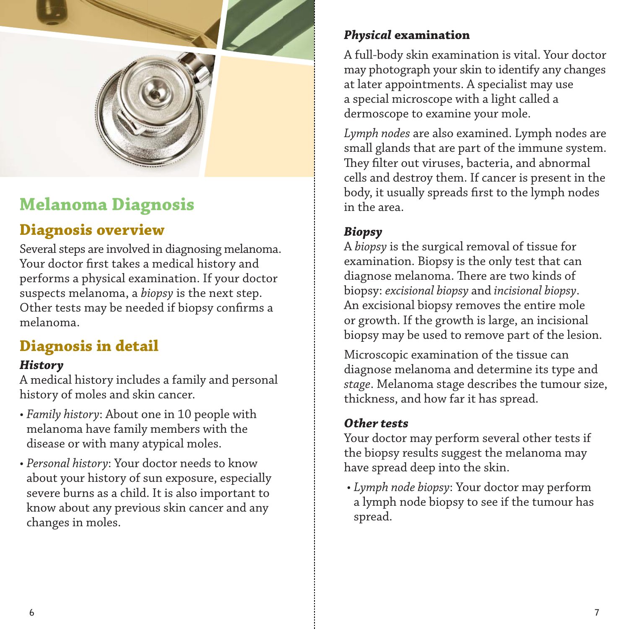

# **Melanoma Diagnosis**

### **Diagnosis overview**

Several steps are involved in diagnosing melanoma. Your doctor first takes a medical history and performs a physical examination. If your doctor suspects melanoma, a *biopsy* is the next step. Other tests may be needed if biopsy confirms a melanoma.

# **Diagnosis in detail**

#### *History*

A medical history includes a family and personal history of moles and skin cancer.

- *Family history*: About one in 10 people with melanoma have family members with the disease or with many atypical moles.
- *Personal history*: Your doctor needs to know about your history of sun exposure, especially severe burns as a child. It is also important to know about any previous skin cancer and any changes in moles.

#### *Physical* **examination**

A full-body skin examination is vital. Your doctor may photograph your skin to identify any changes at later appointments. A specialist may use a special microscope with a light called a dermoscope to examine your mole.

*Lymph nodes* are also examined. Lymph nodes are small glands that are part of the immune system. They filter out viruses, bacteria, and abnormal cells and destroy them. If cancer is present in the body, it usually spreads first to the lymph nodes in the area.

#### *Biopsy*

A *biopsy* is the surgical removal of tissue for examination. Biopsy is the only test that can diagnose melanoma. There are two kinds of biopsy: *excisional biopsy* and *incisional biopsy*. An excisional biopsy removes the entire mole or growth. If the growth is large, an incisional biopsy may be used to remove part of the lesion.

Microscopic examination of the tissue can diagnose melanoma and determine its type and *stage*. Melanoma stage describes the tumour size, thickness, and how far it has spread.

#### *Other tests*

Your doctor may perform several other tests if the biopsy results suggest the melanoma may have spread deep into the skin.

 • *Lymph node biopsy*: Your doctor may perform a lymph node biopsy to see if the tumour has spread.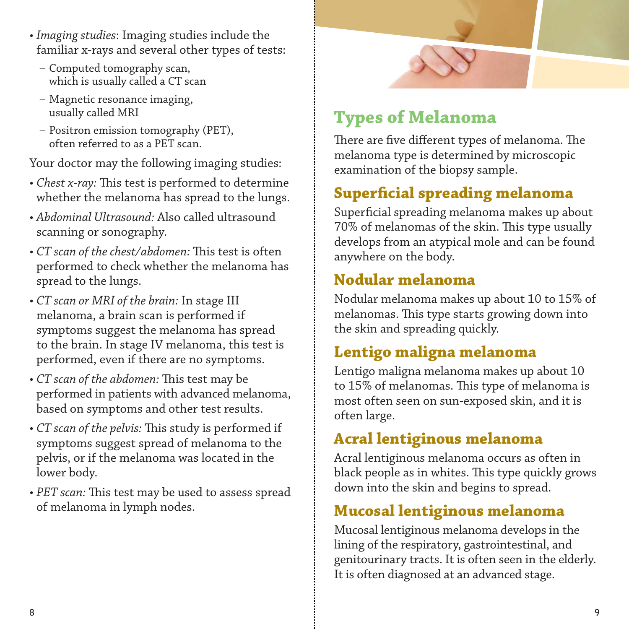- *Imaging studies*: Imaging studies include the familiar x-rays and several other types of tests:
	- Computed tomography scan, which is usually called a CT scan
	- Magnetic resonance imaging, usually called MRI
	- Positron emission tomography (PET), often referred to as a PET scan.

Your doctor may the following imaging studies:

- *Chest x-ray:* This test is performed to determine whether the melanoma has spread to the lungs.
- *Abdominal Ultrasound:* Also called ultrasound scanning or sonography.
- *CT scan of the chest/abdomen:* This test is often performed to check whether the melanoma has spread to the lungs.
- *CT scan or MRI of the brain:* In stage III melanoma, a brain scan is performed if symptoms suggest the melanoma has spread to the brain. In stage IV melanoma, this test is performed, even if there are no symptoms.
- *CT scan of the abdomen:* This test may be performed in patients with advanced melanoma, based on symptoms and other test results.
- *CT scan of the pelvis:* This study is performed if symptoms suggest spread of melanoma to the pelvis, or if the melanoma was located in the lower body.
- PET scan: This test may be used to assess spread of melanoma in lymph nodes.



# **Types of Melanoma**

There are five different types of melanoma. The melanoma type is determined by microscopic examination of the biopsy sample.

# **Superfi cial spreading melanoma**

Superficial spreading melanoma makes up about 70% of melanomas of the skin. This type usually develops from an atypical mole and can be found anywhere on the body.

### **Nodular melanoma**

Nodular melanoma makes up about 10 to 15% of melanomas. This type starts growing down into the skin and spreading quickly.

# **Lentigo maligna melanoma**

Lentigo maligna melanoma makes up about 10 to 15% of melanomas. This type of melanoma is most often seen on sun-exposed skin, and it is often large.

### **Acral lentiginous melanoma**

Acral lentiginous melanoma occurs as often in black people as in whites. This type quickly grows down into the skin and begins to spread.

# **Mucosal lentiginous melanoma**

Mucosal lentiginous melanoma develops in the lining of the respiratory, gastrointestinal, and genitourinary tracts. It is often seen in the elderly. It is often diagnosed at an advanced stage.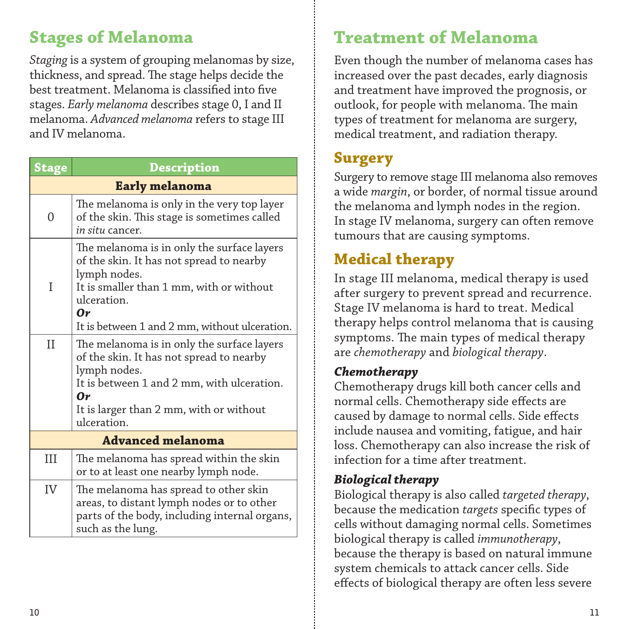# **Stages of Melanoma**

*Staging* is a system of grouping melanomas by size, thickness, and spread. The stage helps decide the best treatment. Melanoma is classified into five stages. *Early melanoma* describes stage 0, I and II melanoma. *Advanced melanoma* refers to stage III and IV melanoma.

| <b>Stage</b>             | <b>Description</b>                                                                                                                                                                                                          |  |  |  |
|--------------------------|-----------------------------------------------------------------------------------------------------------------------------------------------------------------------------------------------------------------------------|--|--|--|
| <b>Early melanoma</b>    |                                                                                                                                                                                                                             |  |  |  |
| 0                        | The melanoma is only in the very top layer<br>of the skin. This stage is sometimes called<br>in situ cancer.                                                                                                                |  |  |  |
| T                        | The melanoma is in only the surface layers<br>of the skin. It has not spread to nearby<br>lymph nodes.<br>It is smaller than 1 mm, with or without<br>ulceration.<br>0r<br>It is between 1 and 2 mm, without ulceration.    |  |  |  |
| $_{\rm II}$              | The melanoma is in only the surface layers<br>of the skin. It has not spread to nearby<br>lymph nodes.<br>It is between 1 and 2 mm, with ulceration.<br>$\bm{Ov}$<br>It is larger than 2 mm, with or without<br>ulceration. |  |  |  |
| <b>Advanced melanoma</b> |                                                                                                                                                                                                                             |  |  |  |
| III                      | The melanoma has spread within the skin<br>or to at least one nearby lymph node.                                                                                                                                            |  |  |  |
| IV                       | The melanoma has spread to other skin<br>areas, to distant lymph nodes or to other<br>parts of the body, including internal organs,<br>such as the lung.                                                                    |  |  |  |

# **Treatment of Melanoma**

Even though the number of melanoma cases has increased over the past decades, early diagnosis and treatment have improved the prognosis, or outlook, for people with melanoma. The main types of treatment for melanoma are surgery, medical treatment, and radiation therapy.

### **Surgery**

Surgery to remove stage III melanoma also removes a wide *margin*, or border, of normal tissue around the melanoma and lymph nodes in the region. In stage IV melanoma, surgery can often remove tumours that are causing symptoms.

# **Medical therapy**

In stage III melanoma, medical therapy is used after surgery to prevent spread and recurrence. Stage IV melanoma is hard to treat. Medical therapy helps control melanoma that is causing symptoms. The main types of medical therapy are *chemotherapy* and *biological therapy*.

#### *Chemotherapy*

Chemotherapy drugs kill both cancer cells and normal cells. Chemotherapy side effects are caused by damage to normal cells. Side effects include nausea and vomiting, fatigue, and hair loss. Chemotherapy can also increase the risk of infection for a time after treatment.

#### *Biological therapy*

Biological therapy is also called *targeted therapy*, because the medication *targets* specific types of cells without damaging normal cells. Sometimes biological therapy is called *immunotherapy*, because the therapy is based on natural immune system chemicals to attack cancer cells. Side effects of biological therapy are often less severe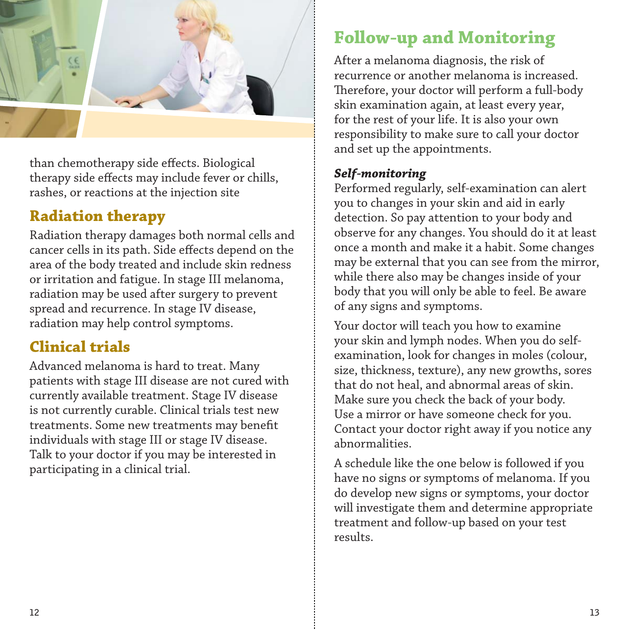

than chemotherapy side effects. Biological therapy side effects may include fever or chills, rashes, or reactions at the injection site

### **Radiation therapy**

Radiation therapy damages both normal cells and cancer cells in its path. Side effects depend on the area of the body treated and include skin redness or irritation and fatigue. In stage III melanoma, radiation may be used after surgery to prevent spread and recurrence. In stage IV disease, radiation may help control symptoms.

### **Clinical trials**

Advanced melanoma is hard to treat. Many patients with stage III disease are not cured with currently available treatment. Stage IV disease is not currently curable. Clinical trials test new treatments. Some new treatments may benefit individuals with stage III or stage IV disease. Talk to your doctor if you may be interested in participating in a clinical trial.

# **Follow-up and Monitoring**

After a melanoma diagnosis, the risk of recurrence or another melanoma is increased. Therefore, your doctor will perform a full-body skin examination again, at least every year, for the rest of your life. It is also your own responsibility to make sure to call your doctor and set up the appointments.

#### *Self-monitoring*

Performed regularly, self-examination can alert you to changes in your skin and aid in early detection. So pay attention to your body and observe for any changes. You should do it at least once a month and make it a habit. Some changes may be external that you can see from the mirror, while there also may be changes inside of your body that you will only be able to feel. Be aware of any signs and symptoms.

Your doctor will teach you how to examine your skin and lymph nodes. When you do selfexamination, look for changes in moles (colour, size, thickness, texture), any new growths, sores that do not heal, and abnormal areas of skin. Make sure you check the back of your body. Use a mirror or have someone check for you. Contact your doctor right away if you notice any abnormalities.

A schedule like the one below is followed if you have no signs or symptoms of melanoma. If you do develop new signs or symptoms, your doctor will investigate them and determine appropriate treatment and follow-up based on your test results.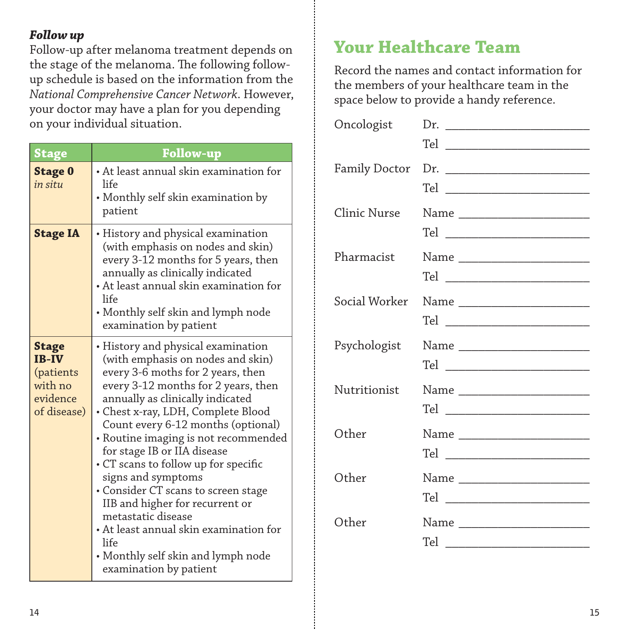#### *Follow up*

Follow-up after melanoma treatment depends on the stage of the melanoma. The following followup schedule is based on the information from the *National Comprehensive Cancer Network*. However, your doctor may have a plan for you depending on your individual situation.

| <b>Stage</b>                                                                    | Follow-up                                                                                                                                                                                                                                                                                                                                                                                                                                                                                                                                                                                                                  |  |  |
|---------------------------------------------------------------------------------|----------------------------------------------------------------------------------------------------------------------------------------------------------------------------------------------------------------------------------------------------------------------------------------------------------------------------------------------------------------------------------------------------------------------------------------------------------------------------------------------------------------------------------------------------------------------------------------------------------------------------|--|--|
| <b>Stage 0</b><br>in situ                                                       | • At least annual skin examination for<br>life<br>• Monthly self skin examination by<br>patient                                                                                                                                                                                                                                                                                                                                                                                                                                                                                                                            |  |  |
| <b>Stage IA</b>                                                                 | • History and physical examination<br>(with emphasis on nodes and skin)<br>every 3-12 months for 5 years, then<br>annually as clinically indicated<br>• At least annual skin examination for<br>life<br>• Monthly self skin and lymph node<br>examination by patient                                                                                                                                                                                                                                                                                                                                                       |  |  |
| <b>Stage</b><br><b>IB-IV</b><br>(patients<br>with no<br>evidence<br>of disease) | • History and physical examination<br>(with emphasis on nodes and skin)<br>every 3-6 moths for 2 years, then<br>every 3-12 months for 2 years, then<br>annually as clinically indicated<br>• Chest x-ray, LDH, Complete Blood<br>Count every 6-12 months (optional)<br>· Routine imaging is not recommended<br>for stage IB or IIA disease<br>• CT scans to follow up for specific<br>signs and symptoms<br>• Consider CT scans to screen stage<br>IIB and higher for recurrent or<br>metastatic disease<br>• At least annual skin examination for<br>life<br>• Monthly self skin and lymph node<br>examination by patient |  |  |

# **Your Healthcare Team**

Record the names and contact information for the members of your healthcare team in the space below to provide a handy reference.

| Oncologist    |                                 |
|---------------|---------------------------------|
| Family Doctor | Tel ___________________________ |
| Clinic Nurse  | Name _________________________  |
| Pharmacist    | Name _________________________  |
| Social Worker |                                 |
| Psychologist  | Name ________________________   |
|               |                                 |
| Nutritionist  | Name _________________________  |
| Other         |                                 |
| Other         |                                 |